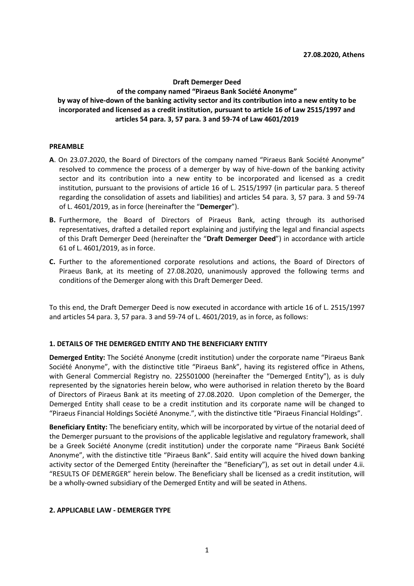## **Draft Demerger Deed**

**of the company named "Piraeus Bank Société Anonyme" by way of hive-down of the banking activity sector and its contribution into a new entity to be incorporated and licensed as a credit institution, pursuant to article 16 of Law 2515/1997 and articles 54 para. 3, 57 para. 3 and 59-74 of Law 4601/2019**

### **PREAMBLE**

- **A**. On 23.07.2020, the Board of Directors of the company named "Piraeus Bank Société Anonyme" resolved to commence the process of a demerger by way of hive-down of the banking activity sector and its contribution into a new entity to be incorporated and licensed as a credit institution, pursuant to the provisions of article 16 of L. 2515/1997 (in particular para. 5 thereof regarding the consolidation of assets and liabilities) and articles 54 para. 3, 57 para. 3 and 59-74 of L. 4601/2019, as in force (hereinafter the "**Demerger**").
- **B.** Furthermore, the Board of Directors of Piraeus Bank, acting through its authorised representatives, drafted a detailed report explaining and justifying the legal and financial aspects of this Draft Demerger Deed (hereinafter the "**Draft Demerger Deed**") in accordance with article 61 of L. 4601/2019, as in force.
- **C.** Further to the aforementioned corporate resolutions and actions, the Board of Directors of Piraeus Bank, at its meeting of 27.08.2020, unanimously approved the following terms and conditions of the Demerger along with this Draft Demerger Deed.

To this end, the Draft Demerger Deed is now executed in accordance with article 16 of L. 2515/1997 and articles 54 para. 3, 57 para. 3 and 59-74 of L. 4601/2019, as in force, as follows:

## **1. DETAILS OF THE DEMERGED ENTITY AND THE BENEFICIARY ENTITY**

**Demerged Entity:** The Société Anonyme (credit institution) under the corporate name "Piraeus Bank Société Anonyme", with the distinctive title "Piraeus Bank", having its registered office in Athens, with General Commercial Registry no. 225501000 (hereinafter the "Demerged Entity"), as is duly represented by the signatories herein below, who were authorised in relation thereto by the Board of Directors of Piraeus Bank at its meeting of 27.08.2020. Upon completion of the Demerger, the Demerged Entity shall cease to be a credit institution and its corporate name will be changed to "Piraeus Financial Holdings Société Anonyme.", with the distinctive title "Piraeus Financial Holdings".

**Beneficiary Entity:** The beneficiary entity, which will be incorporated by virtue of the notarial deed of the Demerger pursuant to the provisions of the applicable legislative and regulatory framework, shall be a Greek Société Anonyme (credit institution) under the corporate name "Piraeus Bank Société Anonyme", with the distinctive title "Piraeus Bank". Said entity will acquire the hived down banking activity sector of the Demerged Entity (hereinafter the "Beneficiary"), as set out in detail under 4.ii. "RESULTS OF DEMERGER" herein below. The Beneficiary shall be licensed as a credit institution, will be a wholly-owned subsidiary of the Demerged Entity and will be seated in Athens.

## **2. APPLICABLE LAW - DEMERGER TYPE**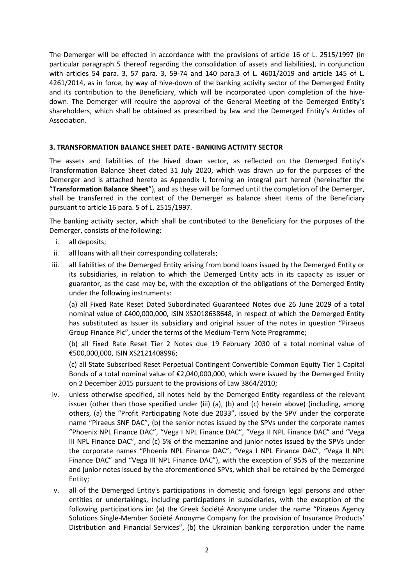The Demerger will be effected in accordance with the provisions of article 16 of L. 2515/1997 (in particular paragraph 5 thereof regarding the consolidation of assets and liabilities), in conjunction with articles 54 para. 3, 57 para. 3, 59-74 and 140 para.3 of L. 4601/2019 and article 145 of L. 4261/2014, as in force, by way of hive-down of the banking activity sector of the Demerged Entity and its contribution to the Beneficiary, which will be incorporated upon completion of the hivedown. The Demerger will require the approval of the General Meeting of the Demerged Entity's shareholders, which shall be obtained as prescribed by law and the Demerged Entity's Articles of Association.

## **3. TRANSFORMATION BALANCE SHEET DATE - BANKING ACTIVITY SECTOR**

The assets and liabilities of the hived down sector, as reflected on the Demerged Entity's Transformation Balance Sheet dated 31 July 2020, which was drawn up for the purposes of the Demerger and is attached hereto as Appendix I, forming an integral part hereof (hereinafter the "**Transformation Balance Sheet**"), and as these will be formed until the completion of the Demerger, shall be transferred in the context of the Demerger as balance sheet items of the Beneficiary pursuant to article 16 para. 5 of L. 2515/1997.

The banking activity sector, which shall be contributed to the Beneficiary for the purposes of the Demerger, consists of the following:

- i. all deposits;
- ii. all loans with all their corresponding collaterals;
- iii. all liabilities of the Demerged Entity arising from bond loans issued by the Demerged Entity or its subsidiaries, in relation to which the Demerged Entity acts in its capacity as issuer or guarantor, as the case may be, with the exception of the obligations of the Demerged Entity under the following instruments:

(a) all Fixed Rate Reset Dated Subordinated Guaranteed Notes due 26 June 2029 of a total nominal value of €400,000,000, ISIN XS2018638648, in respect of which the Demerged Entity has substituted as Issuer its subsidiary and original issuer of the notes in question "Piraeus Group Finance Plc", under the terms of the Medium-Term Note Programme;

(b) all Fixed Rate Reset Tier 2 Notes due 19 February 2030 of a total nominal value of €500,000,000, ISIN XS2121408996;

(c) all State Subscribed Reset Perpetual Contingent Convertible Common Equity Tier 1 Capital Bonds of a total nominal value of €2,040,000,000, which were issued by the Demerged Entity on 2 December 2015 pursuant to the provisions of Law 3864/2010;

- iv. unless otherwise specified, all notes held by the Demerged Entity regardless of the relevant issuer (other than those specified under (iii) (a), (b) and (c) herein above) (including, among others, (a) the "Profit Participating Note due 2033", issued by the SPV under the corporate name "Piraeus SNF DAC", (b) the senior notes issued by the SPVs under the corporate names "Phoenix NPL Finance DAC", "Vega I NPL Finance DAC", "Vega II NPL Finance DAC" and "Vega III NPL Finance DAC", and (c) 5% of the mezzanine and junior notes issued by the SPVs under the corporate names "Phoenix NPL Finance DAC", "Vega I NPL Finance DAC", "Vega II NPL Finance DAC" and "Vega III NPL Finance DAC"), with the exception of 95% of the mezzanine and junior notes issued by the aforementioned SPVs, which shall be retained by the Demerged Entity;
- v. all of the Demerged Entity's participations in domestic and foreign legal persons and other entities or undertakings, including participations in subsidiaries, with the exception of the following participations in: (a) the Greek Société Anonyme under the name "Piraeus Agency Solutions Single-Member Société Anonyme Company for the provision of Insurance Products' Distribution and Financial Services", (b) the Ukrainian banking corporation under the name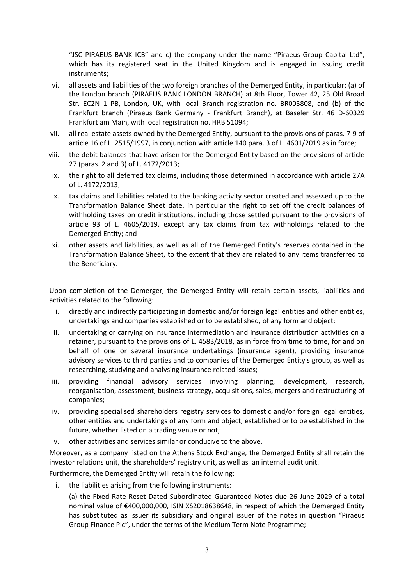"JSC PIRAEUS BANK ICB" and c) the company under the name "Piraeus Group Capital Ltd", which has its registered seat in the United Kingdom and is engaged in issuing credit instruments;

- vi. all assets and liabilities of the two foreign branches of the Demerged Entity, in particular: (a) of the London branch (PIRAEUS BANK LONDON BRANCH) at 8th Floor, Tower 42, 25 Old Broad Str. EC2N 1 PB, London, UK, with local Branch registration no. BR005808, and (b) of the Frankfurt branch (Piraeus Bank Germany - Frankfurt Branch), at Baseler Str. 46 D-60329 Frankfurt am Main, with local registration no. HRB 51094;
- vii. all real estate assets owned by the Demerged Entity, pursuant to the provisions of paras. 7-9 of article 16 of L. 2515/1997, in conjunction with article 140 para. 3 of L. 4601/2019 as in force;
- viii. the debit balances that have arisen for the Demerged Entity based on the provisions of article 27 (paras. 2 and 3) of L. 4172/2013;
- ix. the right to all deferred tax claims, including those determined in accordance with article 27Α of L. 4172/2013;
- x. tax claims and liabilities related to the banking activity sector created and assessed up to the Transformation Balance Sheet date, in particular the right to set off the credit balances of withholding taxes on credit institutions, including those settled pursuant to the provisions of article 93 of L. 4605/2019, except any tax claims from tax withholdings related to the Demerged Entity; and
- xi. other assets and liabilities, as well as all of the Demerged Entity's reserves contained in the Transformation Balance Sheet, to the extent that they are related to any items transferred to the Beneficiary.

Upon completion of the Demerger, the Demerged Entity will retain certain assets, liabilities and activities related to the following:

- i. directly and indirectly participating in domestic and/or foreign legal entities and other entities, undertakings and companies established or to be established, of any form and object;
- ii. undertaking or carrying on insurance intermediation and insurance distribution activities on a retainer, pursuant to the provisions of L. 4583/2018, as in force from time to time, for and on behalf of one or several insurance undertakings (insurance agent), providing insurance advisory services to third parties and to companies of the Demerged Entity's group, as well as researching, studying and analysing insurance related issues;
- iii. providing financial advisory services involving planning, development, research, reorganisation, assessment, business strategy, acquisitions, sales, mergers and restructuring of companies;
- iv. providing specialised shareholders registry services to domestic and/or foreign legal entities, other entities and undertakings of any form and object, established or to be established in the future, whether listed on a trading venue or not;
- v. other activities and services similar or conducive to the above.

Moreover, as a company listed on the Athens Stock Exchange, the Demerged Entity shall retain the investor relations unit, the shareholders' registry unit, as well as an internal audit unit.

Furthermore, the Demerged Entity will retain the following:

i. the liabilities arising from the following instruments:

(a) the Fixed Rate Reset Dated Subordinated Guaranteed Notes due 26 June 2029 of a total nominal value of €400,000,000, ISIN XS2018638648, in respect of which the Demerged Entity has substituted as Issuer its subsidiary and original issuer of the notes in question "Piraeus Group Finance Plc", under the terms of the Medium Term Note Programme;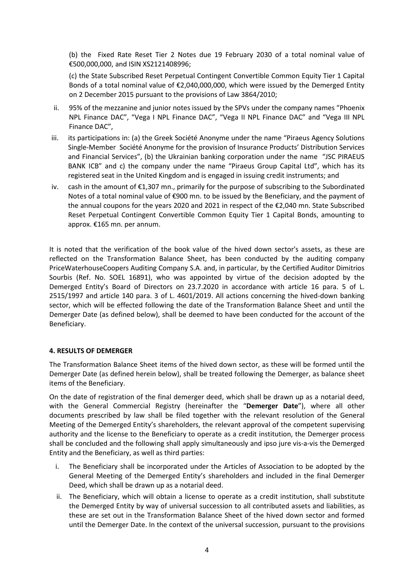(b) the Fixed Rate Reset Tier 2 Notes due 19 February 2030 of a total nominal value of €500,000,000, and ISIN XS2121408996;

(c) the State Subscribed Reset Perpetual Contingent Convertible Common Equity Tier 1 Capital Bonds of a total nominal value of €2,040,000,000, which were issued by the Demerged Entity on 2 December 2015 pursuant to the provisions of Law 3864/2010;

- ii. 95% of the mezzanine and junior notes issued by the SPVs under the company names "Phoenix NPL Finance DAC", "Vega I NPL Finance DAC", "Vega II NPL Finance DAC" and "Vega III NPL Finance DAC",
- iii. its participations in: (a) the Greek Société Anonyme under the name "Piraeus Agency Solutions Single-Member Société Anonyme for the provision of Insurance Products' Distribution Services and Financial Services", (b) the Ukrainian banking corporation under the name "JSC PIRAEUS BANK ICB" and c) the company under the name "Piraeus Group Capital Ltd", which has its registered seat in the United Kingdom and is engaged in issuing credit instruments; and
- iv. cash in the amount of €1,307 mn., primarily for the purpose of subscribing to the Subordinated Notes of a total nominal value of  $\epsilon$ 900 mn. to be issued by the Beneficiary, and the payment of the annual coupons for the years 2020 and 2021 in respect of the €2,040 mn. State Subscribed Reset Perpetual Contingent Convertible Common Equity Tier 1 Capital Bonds, amounting to approx. €165 mn. per annum.

It is noted that the verification of the book value of the hived down sector's assets, as these are reflected on the Transformation Balance Sheet, has been conducted by the auditing company PriceWaterhouseCoopers Auditing Company S.A. and, in particular, by the Certified Auditor Dimitrios Sourbis (Ref. No. SOEL 16891), who was appointed by virtue of the decision adopted by the Demerged Entity's Board of Directors on 23.7.2020 in accordance with article 16 para. 5 of L. 2515/1997 and article 140 para. 3 of L. 4601/2019. All actions concerning the hived-down banking sector, which will be effected following the date of the Transformation Balance Sheet and until the Demerger Date (as defined below), shall be deemed to have been conducted for the account of the Beneficiary.

## **4. RESULTS OF DEMERGER**

The Transformation Balance Sheet items of the hived down sector, as these will be formed until the Demerger Date (as defined herein below), shall be treated following the Demerger, as balance sheet items of the Beneficiary.

On the date of registration of the final demerger deed, which shall be drawn up as a notarial deed, with the General Commercial Registry (hereinafter the "**Demerger Date**"), where all other documents prescribed by law shall be filed together with the relevant resolution of the General Meeting of the Demerged Entity's shareholders, the relevant approval of the competent supervising authority and the license to the Beneficiary to operate as a credit institution, the Demerger process shall be concluded and the following shall apply simultaneously and ipso jure vis-a-vis the Demerged Entity and the Beneficiary, as well as third parties:

- i. The Beneficiary shall be incorporated under the Articles of Association to be adopted by the General Meeting of the Demerged Entity's shareholders and included in the final Demerger Deed, which shall be drawn up as a notarial deed.
- ii. The Beneficiary, which will obtain a license to operate as a credit institution, shall substitute the Demerged Entity by way of universal succession to all contributed assets and liabilities, as these are set out in the Transformation Balance Sheet of the hived down sector and formed until the Demerger Date. In the context of the universal succession, pursuant to the provisions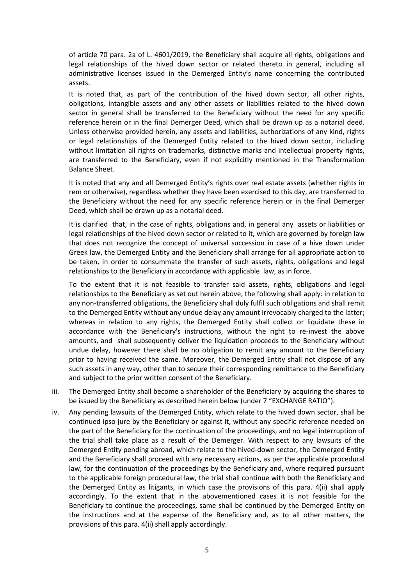of article 70 para. 2a of L. 4601/2019, the Beneficiary shall acquire all rights, obligations and legal relationships of the hived down sector or related thereto in general, including all administrative licenses issued in the Demerged Entity's name concerning the contributed assets.

It is noted that, as part of the contribution of the hived down sector, all other rights, obligations, intangible assets and any other assets or liabilities related to the hived down sector in general shall be transferred to the Beneficiary without the need for any specific reference herein or in the final Demerger Deed, which shall be drawn up as a notarial deed. Unless otherwise provided herein, any assets and liabilities, authorizations of any kind, rights or legal relationships of the Demerged Entity related to the hived down sector, including without limitation all rights on trademarks, distinctive marks and intellectual property rights, are transferred to the Beneficiary, even if not explicitly mentioned in the Transformation Balance Sheet.

It is noted that any and all Demerged Entity's rights over real estate assets (whether rights in rem or otherwise), regardless whether they have been exercised to this day, are transferred to the Beneficiary without the need for any specific reference herein or in the final Demerger Deed, which shall be drawn up as a notarial deed.

It is clarified that, in the case of rights, obligations and, in general any assets or liabilities or legal relationships of the hived down sector or related to it, which are governed by foreign law that does not recognize the concept of universal succession in case of a hive down under Greek law, the Demerged Entity and the Beneficiary shall arrange for all appropriate action to be taken, in order to consummate the transfer of such assets, rights, obligations and legal relationships to the Beneficiary in accordance with applicable law, as in force.

To the extent that it is not feasible to transfer said assets, rights, obligations and legal relationships to the Beneficiary as set out herein above, the following shall apply: in relation to any non-transferred obligations, the Beneficiary shall duly fulfil such obligations and shall remit to the Demerged Entity without any undue delay any amount irrevocably charged to the latter; whereas in relation to any rights, the Demerged Entity shall collect or liquidate these in accordance with the Beneficiary's instructions, without the right to re-invest the above amounts, and shall subsequently deliver the liquidation proceeds to the Beneficiary without undue delay, however there shall be no obligation to remit any amount to the Beneficiary prior to having received the same. Moreover, the Demerged Entity shall not dispose of any such assets in any way, other than to secure their corresponding remittance to the Beneficiary and subject to the prior written consent of the Beneficiary.

- iii. The Demerged Entity shall become a shareholder of the Beneficiary by acquiring the shares to be issued by the Beneficiary as described herein below (under 7 "EXCHANGE RATIO").
- iv. Any pending lawsuits of the Demerged Entity, which relate to the hived down sector, shall be continued ipso jure by the Beneficiary or against it, without any specific reference needed on the part of the Beneficiary for the continuation of the proceedings, and no legal interruption of the trial shall take place as a result of the Demerger. With respect to any lawsuits of the Demerged Entity pending abroad, which relate to the hived-down sector, the Demerged Entity and the Beneficiary shall proceed with any necessary actions, as per the applicable procedural law, for the continuation of the proceedings by the Beneficiary and, where required pursuant to the applicable foreign procedural law, the trial shall continue with both the Beneficiary and the Demerged Entity as litigants, in which case the provisions of this para. 4(ii) shall apply accordingly. To the extent that in the abovementioned cases it is not feasible for the Beneficiary to continue the proceedings, same shall be continued by the Demerged Entity on the instructions and at the expense of the Beneficiary and, as to all other matters, the provisions of this para. 4(ii) shall apply accordingly.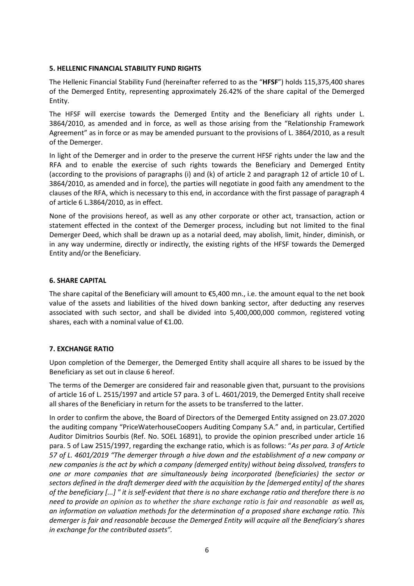## **5. HELLENIC FINANCIAL STABILITY FUND RIGHTS**

The Hellenic Financial Stability Fund (hereinafter referred to as the "**HFSF**") holds 115,375,400 shares of the Demerged Entity, representing approximately 26.42% of the share capital of the Demerged Entity.

The HFSF will exercise towards the Demerged Entity and the Beneficiary all rights under L. 3864/2010, as amended and in force, as well as those arising from the "Relationship Framework Agreement" as in force or as may be amended pursuant to the provisions of L. 3864/2010, as a result of the Demerger.

In light of the Demerger and in order to the preserve the current HFSF rights under the law and the RFA and to enable the exercise of such rights towards the Beneficiary and Demerged Entity (according to the provisions of paragraphs (i) and (k) of article 2 and paragraph 12 of article 10 of L. 3864/2010, as amended and in force), the parties will negotiate in good faith any amendment to the clauses of the RFA, which is necessary to this end, in accordance with the first passage of paragraph 4 of article 6 L.3864/2010, as in effect.

None of the provisions hereof, as well as any other corporate or other act, transaction, action or statement effected in the context of the Demerger process, including but not limited to the final Demerger Deed, which shall be drawn up as a notarial deed, may abolish, limit, hinder, diminish, or in any way undermine, directly or indirectly, the existing rights of the HFSF towards the Demerged Entity and/or the Beneficiary.

# **6. SHARE CAPITAL**

The share capital of the Beneficiary will amount to €5,400 mn., i.e. the amount equal to the net book value of the assets and liabilities of the hived down banking sector, after deducting any reserves associated with such sector, and shall be divided into 5,400,000,000 common, registered voting shares, each with a nominal value of  $£1.00$ .

# **7. EXCHANGE RATIO**

Upon completion of the Demerger, the Demerged Entity shall acquire all shares to be issued by the Beneficiary as set out in clause 6 hereof.

The terms of the Demerger are considered fair and reasonable given that, pursuant to the provisions of article 16 of L. 2515/1997 and article 57 para. 3 of L. 4601/2019, the Demerged Entity shall receive all shares of the Beneficiary in return for the assets to be transferred to the latter.

In order to confirm the above, the Board of Directors of the Demerged Entity assigned on 23.07.2020 the auditing company "PriceWaterhouseCoopers Auditing Company S.A." and, in particular, Certified Auditor Dimitrios Sourbis (Ref. No. SOEL 16891), to provide the opinion prescribed under article 16 para. 5 of Law 2515/1997, regarding the exchange ratio, which is as follows: "*As per para. 3 of Article 57 of L. 4601/2019 "The demerger through a hive down and the establishment of a new company or new companies is the act by which a company (demerged entity) without being dissolved, transfers to one or more companies that are simultaneously being incorporated (beneficiaries) the sector or sectors defined in the draft demerger deed with the acquisition by the [demerged entity] of the shares of the beneficiary [...] " it is self-evident that there is no share exchange ratio and therefore there is no need to provide an opinion as to whether the share exchange ratio is fair and reasonable as well as, an information on valuation methods for the determination of a proposed share exchange ratio. This demerger is fair and reasonable because the Demerged Entity will acquire all the Beneficiary's shares in exchange for the contributed assets".*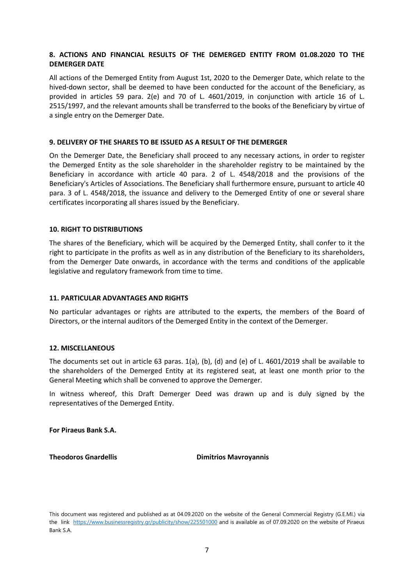## **8. ACTIONS AND FINANCIAL RESULTS OF THE DEMERGED ENTITY FROM 01.08.2020 TO THE DEMERGER DATE**

All actions of the Demerged Entity from August 1st, 2020 to the Demerger Date, which relate to the hived-down sector, shall be deemed to have been conducted for the account of the Beneficiary, as provided in articles 59 para. 2(e) and 70 of L. 4601/2019, in conjunction with article 16 of L. 2515/1997, and the relevant amounts shall be transferred to the books of the Beneficiary by virtue of a single entry on the Demerger Date.

## **9. DELIVERY OF THE SHARES TO BE ISSUED AS A RESULT OF THE DEMERGER**

On the Demerger Date, the Beneficiary shall proceed to any necessary actions, in order to register the Demerged Entity as the sole shareholder in the shareholder registry to be maintained by the Beneficiary in accordance with article 40 para. 2 of L. 4548/2018 and the provisions of the Beneficiary's Articles of Associations. The Beneficiary shall furthermore ensure, pursuant to article 40 para. 3 of L. 4548/2018, the issuance and delivery to the Demerged Entity of one or several share certificates incorporating all shares issued by the Beneficiary.

## **10. RIGHT TO DISTRIBUTIONS**

The shares of the Beneficiary, which will be acquired by the Demerged Entity, shall confer to it the right to participate in the profits as well as in any distribution of the Beneficiary to its shareholders, from the Demerger Date onwards, in accordance with the terms and conditions of the applicable legislative and regulatory framework from time to time.

## **11. PARTICULAR ADVANTAGES AND RIGHTS**

No particular advantages or rights are attributed to the experts, the members of the Board of Directors, or the internal auditors of the Demerged Entity in the context of the Demerger.

## **12. MISCELLANEOUS**

The documents set out in article 63 paras. 1(a), (b), (d) and (e) of L. 4601/2019 shall be available to the shareholders of the Demerged Entity at its registered seat, at least one month prior to the General Meeting which shall be convened to approve the Demerger.

In witness whereof, this Draft Demerger Deed was drawn up and is duly signed by the representatives of the Demerged Entity.

**For Piraeus Bank S.A.**

**Theodoros Gnardellis Construction Dimitrios Mavroyannis** 

This document was registered and published as at 04.09.2020 on the website of the General Commercial Registry (G.E.MI.) via the link <https://www.businessregistry.gr/publicity/show/225501000> and is available as of 07.09.2020 on the website of Piraeus Bank S.A.